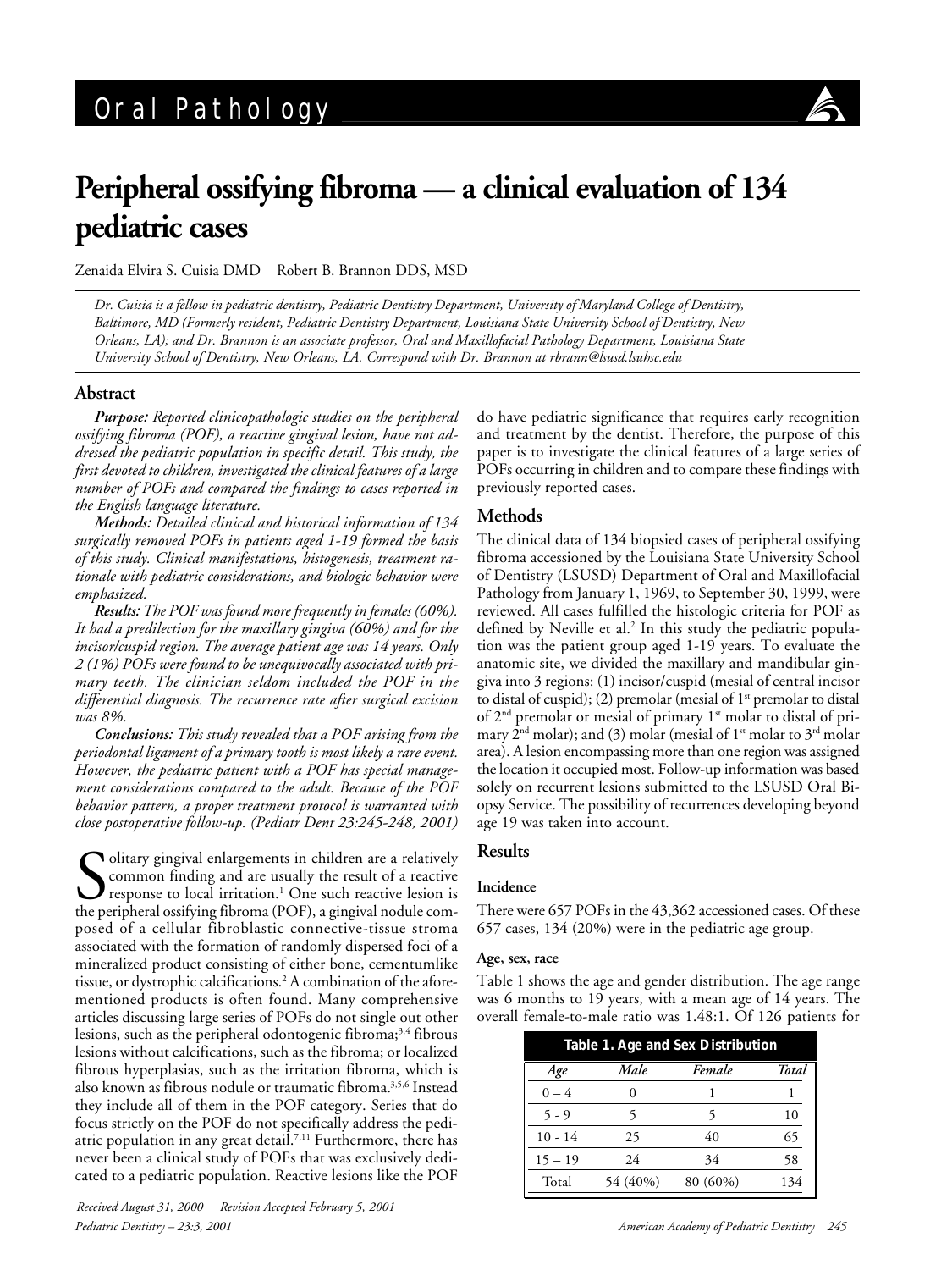

# **Peripheral ossifying fibroma — a clinical evaluation of 134 pediatric cases**

Zenaida Elvira S. Cuisia DMD Robert B. Brannon DDS, MSD

*Dr. Cuisia is a fellow in pediatric dentistry, Pediatric Dentistry Department, University of Maryland College of Dentistry, Baltimore, MD (Formerly resident, Pediatric Dentistry Department, Louisiana State University School of Dentistry, New Orleans, LA); and Dr. Brannon is an associate professor, Oral and Maxillofacial Pathology Department, Louisiana State University School of Dentistry, New Orleans, LA. Correspond with Dr. Brannon at rbrann@lsusd.lsuhsc.edu*

## **Abstract**

*Purpose: Reported clinicopathologic studies on the peripheral ossifying fibroma (POF), a reactive gingival lesion, have not addressed the pediatric population in specific detail. This study, the first devoted to children, investigated the clinical features of a large number of POFs and compared the findings to cases reported in the English language literature.*

*Methods: Detailed clinical and historical information of 134 surgically removed POFs in patients aged 1-19 formed the basis of this study. Clinical manifestations, histogenesis, treatment rationale with pediatric considerations, and biologic behavior were emphasized.*

*Results: The POF was found more frequently in females (60%). It had a predilection for the maxillary gingiva (60%) and for the incisor/cuspid region. The average patient age was 14 years. Only 2 (1%) POFs were found to be unequivocally associated with primary teeth. The clinician seldom included the POF in the differential diagnosis. The recurrence rate after surgical excision was 8%.*

*Conclusions: This study revealed that a POF arising from the periodontal ligament of a primary tooth is most likely a rare event. However, the pediatric patient with a POF has special management considerations compared to the adult. Because of the POF behavior pattern, a proper treatment protocol is warranted with close postoperative follow-up. (Pediatr Dent 23:245-248, 2001)*

Solitary gingival enlargements in children are a relatively common finding and are usually the result of a reactive response to local irritation.<sup>1</sup> One such reactive lesion is the peripheral ossifying fibroma (POF), a gin Olitary gingival enlargements in children are a relatively common finding and are usually the result of a reactive response to local irritation.1 One such reactive lesion is posed of a cellular fibroblastic connective-tissue stroma associated with the formation of randomly dispersed foci of a mineralized product consisting of either bone, cementumlike tissue, or dystrophic calcifications.<sup>2</sup> A combination of the aforementioned products is often found. Many comprehensive articles discussing large series of POFs do not single out other lesions, such as the peripheral odontogenic fibroma; $3,4$  fibrous lesions without calcifications, such as the fibroma; or localized fibrous hyperplasias, such as the irritation fibroma, which is also known as fibrous nodule or traumatic fibroma.3,5,6 Instead they include all of them in the POF category. Series that do focus strictly on the POF do not specifically address the pediatric population in any great detail.<sup>7,11</sup> Furthermore, there has never been a clinical study of POFs that was exclusively dedicated to a pediatric population. Reactive lesions like the POF

*Pediatric Dentistry – 23:3, 2001 American Academy of Pediatric Dentistry 245 Received August 31, 2000 Revision Accepted February 5, 2001*

do have pediatric significance that requires early recognition and treatment by the dentist. Therefore, the purpose of this paper is to investigate the clinical features of a large series of POFs occurring in children and to compare these findings with previously reported cases.

## **Methods**

The clinical data of 134 biopsied cases of peripheral ossifying fibroma accessioned by the Louisiana State University School of Dentistry (LSUSD) Department of Oral and Maxillofacial Pathology from January 1, 1969, to September 30, 1999, were reviewed. All cases fulfilled the histologic criteria for POF as defined by Neville et al.<sup>2</sup> In this study the pediatric population was the patient group aged 1-19 years. To evaluate the anatomic site, we divided the maxillary and mandibular gingiva into 3 regions: (1) incisor/cuspid (mesial of central incisor to distal of cuspid); (2) premolar (mesial of  $1<sup>st</sup>$  premolar to distal of 2<sup>nd</sup> premolar or mesial of primary 1<sup>st</sup> molar to distal of primary  $2<sup>nd</sup>$  molar); and (3) molar (mesial of  $1<sup>st</sup>$  molar to  $3<sup>rd</sup>$  molar area). A lesion encompassing more than one region was assigned the location it occupied most. Follow-up information was based solely on recurrent lesions submitted to the LSUSD Oral Biopsy Service. The possibility of recurrences developing beyond age 19 was taken into account.

## **Results**

## **Incidence**

There were 657 POFs in the 43,362 accessioned cases. Of these 657 cases, 134 (20%) were in the pediatric age group.

#### **Age, sex, race**

Table 1 shows the age and gender distribution. The age range was 6 months to 19 years, with a mean age of 14 years. The overall female-to-male ratio was 1.48:1. Of 126 patients for

| Table 1. Age and Sex Distribution |          |          |       |  |
|-----------------------------------|----------|----------|-------|--|
| Age                               | Male     | Female   | Total |  |
| $0 - 4$                           | 0        |          |       |  |
| $5 - 9$                           | 5        | 5        | 10    |  |
| $10 - 14$                         | 25       | 40       | 65    |  |
| $15 - 19$                         | 24       | 34       | 58    |  |
| Total                             | 54 (40%) | 80 (60%) | 134   |  |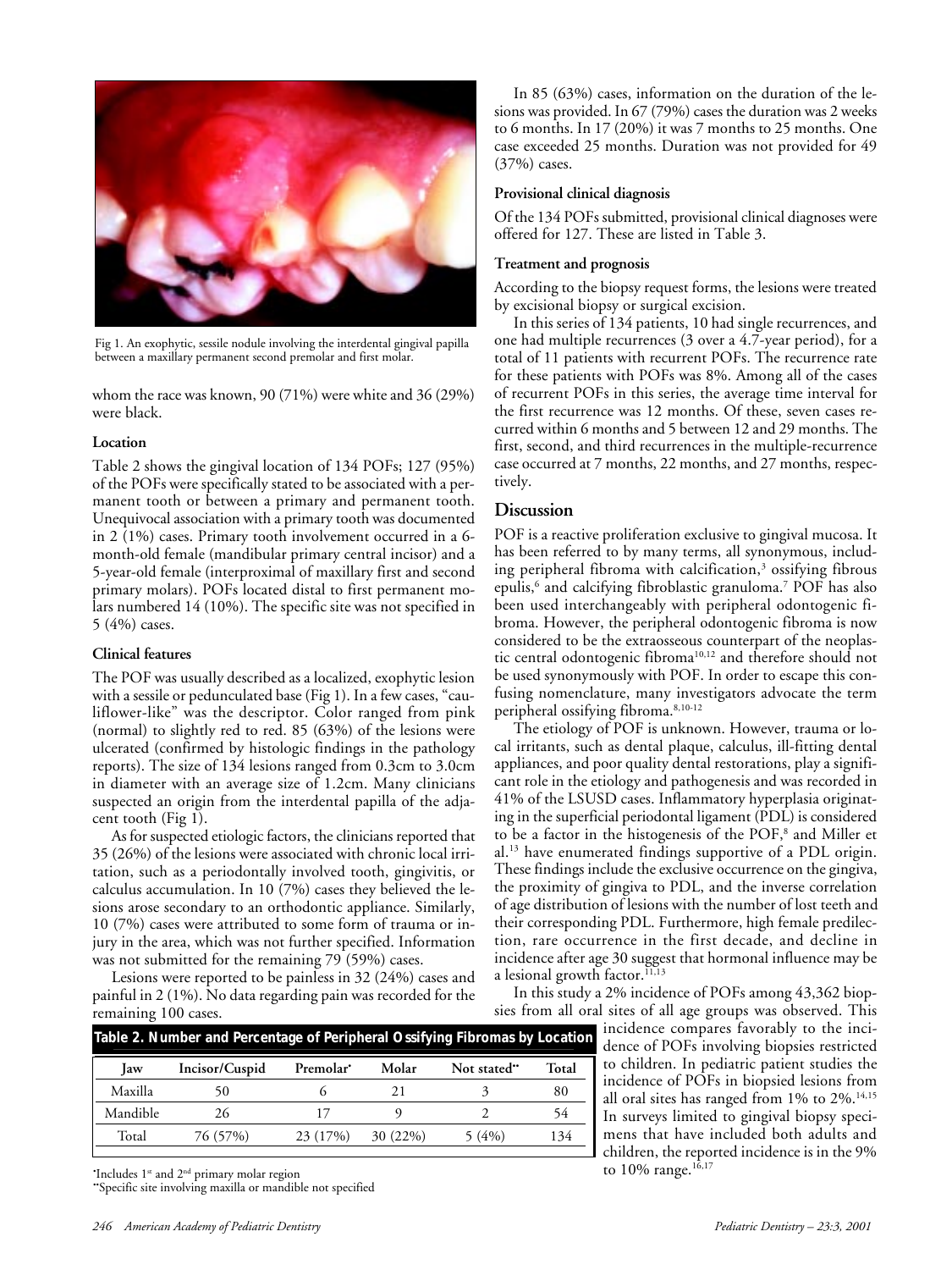

Fig 1. An exophytic, sessile nodule involving the interdental gingival papilla between a maxillary permanent second premolar and first molar.

whom the race was known, 90 (71%) were white and 36 (29%) were black.

## **Location**

Table 2 shows the gingival location of 134 POFs; 127 (95%) of the POFs were specifically stated to be associated with a permanent tooth or between a primary and permanent tooth. Unequivocal association with a primary tooth was documented in 2 (1%) cases. Primary tooth involvement occurred in a 6 month-old female (mandibular primary central incisor) and a 5-year-old female (interproximal of maxillary first and second primary molars). POFs located distal to first permanent molars numbered 14 (10%). The specific site was not specified in 5 (4%) cases.

## **Clinical features**

The POF was usually described as a localized, exophytic lesion with a sessile or pedunculated base (Fig 1). In a few cases, "cauliflower-like" was the descriptor. Color ranged from pink (normal) to slightly red to red. 85 (63%) of the lesions were ulcerated (confirmed by histologic findings in the pathology reports). The size of 134 lesions ranged from 0.3cm to 3.0cm in diameter with an average size of 1.2cm. Many clinicians suspected an origin from the interdental papilla of the adjacent tooth (Fig 1).

As for suspected etiologic factors, the clinicians reported that 35 (26%) of the lesions were associated with chronic local irritation, such as a periodontally involved tooth, gingivitis, or calculus accumulation. In 10 (7%) cases they believed the lesions arose secondary to an orthodontic appliance. Similarly, 10 (7%) cases were attributed to some form of trauma or injury in the area, which was not further specified. Information was not submitted for the remaining 79 (59%) cases.

Lesions were reported to be painless in 32 (24%) cases and painful in 2 (1%). No data regarding pain was recorded for the remaining 100 cases.

In 85 (63%) cases, information on the duration of the lesions was provided. In 67 (79%) cases the duration was 2 weeks to 6 months. In 17 (20%) it was 7 months to 25 months. One case exceeded 25 months. Duration was not provided for 49 (37%) cases.

## **Provisional clinical diagnosis**

Of the 134 POFs submitted, provisional clinical diagnoses were offered for 127. These are listed in Table 3.

## **Treatment and prognosis**

According to the biopsy request forms, the lesions were treated by excisional biopsy or surgical excision.

In this series of 134 patients, 10 had single recurrences, and one had multiple recurrences (3 over a 4.7-year period), for a total of 11 patients with recurrent POFs. The recurrence rate for these patients with POFs was 8%. Among all of the cases of recurrent POFs in this series, the average time interval for the first recurrence was 12 months. Of these, seven cases recurred within 6 months and 5 between 12 and 29 months. The first, second, and third recurrences in the multiple-recurrence case occurred at 7 months, 22 months, and 27 months, respectively.

# **Discussion**

POF is a reactive proliferation exclusive to gingival mucosa. It has been referred to by many terms, all synonymous, including peripheral fibroma with calcification, $^3$  ossifying fibrous epulis,<sup>6</sup> and calcifying fibroblastic granuloma.<sup>7</sup> POF has also been used interchangeably with peripheral odontogenic fibroma. However, the peripheral odontogenic fibroma is now considered to be the extraosseous counterpart of the neoplastic central odontogenic fibroma<sup>10,12</sup> and therefore should not be used synonymously with POF. In order to escape this confusing nomenclature, many investigators advocate the term peripheral ossifying fibroma.8,10-12

The etiology of POF is unknown. However, trauma or local irritants, such as dental plaque, calculus, ill-fitting dental appliances, and poor quality dental restorations, play a significant role in the etiology and pathogenesis and was recorded in 41% of the LSUSD cases. Inflammatory hyperplasia originating in the superficial periodontal ligament (PDL) is considered to be a factor in the histogenesis of the POF,<sup>8</sup> and Miller et al.13 have enumerated findings supportive of a PDL origin. These findings include the exclusive occurrence on the gingiva, the proximity of gingiva to PDL, and the inverse correlation of age distribution of lesions with the number of lost teeth and their corresponding PDL. Furthermore, high female predilection, rare occurrence in the first decade, and decline in incidence after age 30 suggest that hormonal influence may be a lesional growth factor.<sup>11,13</sup>

In this study a 2% incidence of POFs among 43,362 biopsies from all oral sites of all age groups was observed. This

> incidence compares favorably to the incidence of POFs involving biopsies restricted to children. In pediatric patient studies the incidence of POFs in biopsied lesions from all oral sites has ranged from 1% to 2%.<sup>14,15</sup> In surveys limited to gingival biopsy specimens that have included both adults and children, the reported incidence is in the 9% to 10% range.<sup>16,17</sup>

| Table 2. Number and Percentage of Peripheral Ossifying Fibromas by Location |                |           |            |             |       |  |  |
|-----------------------------------------------------------------------------|----------------|-----------|------------|-------------|-------|--|--|
| law                                                                         | Incisor/Cuspid | Premolar' | Molar      | Not stated" | Total |  |  |
| Maxilla                                                                     |                |           | 21         |             | 80    |  |  |
| Mandible                                                                    | 26             |           |            |             | 54    |  |  |
| Total                                                                       | 76 (57%)       | 23 (17%)  | $30(22\%)$ | 5(4%)       | 134   |  |  |

The to  $10\%$  range.<sup>16,17</sup> to  $10\%$  range.<sup>16,17</sup>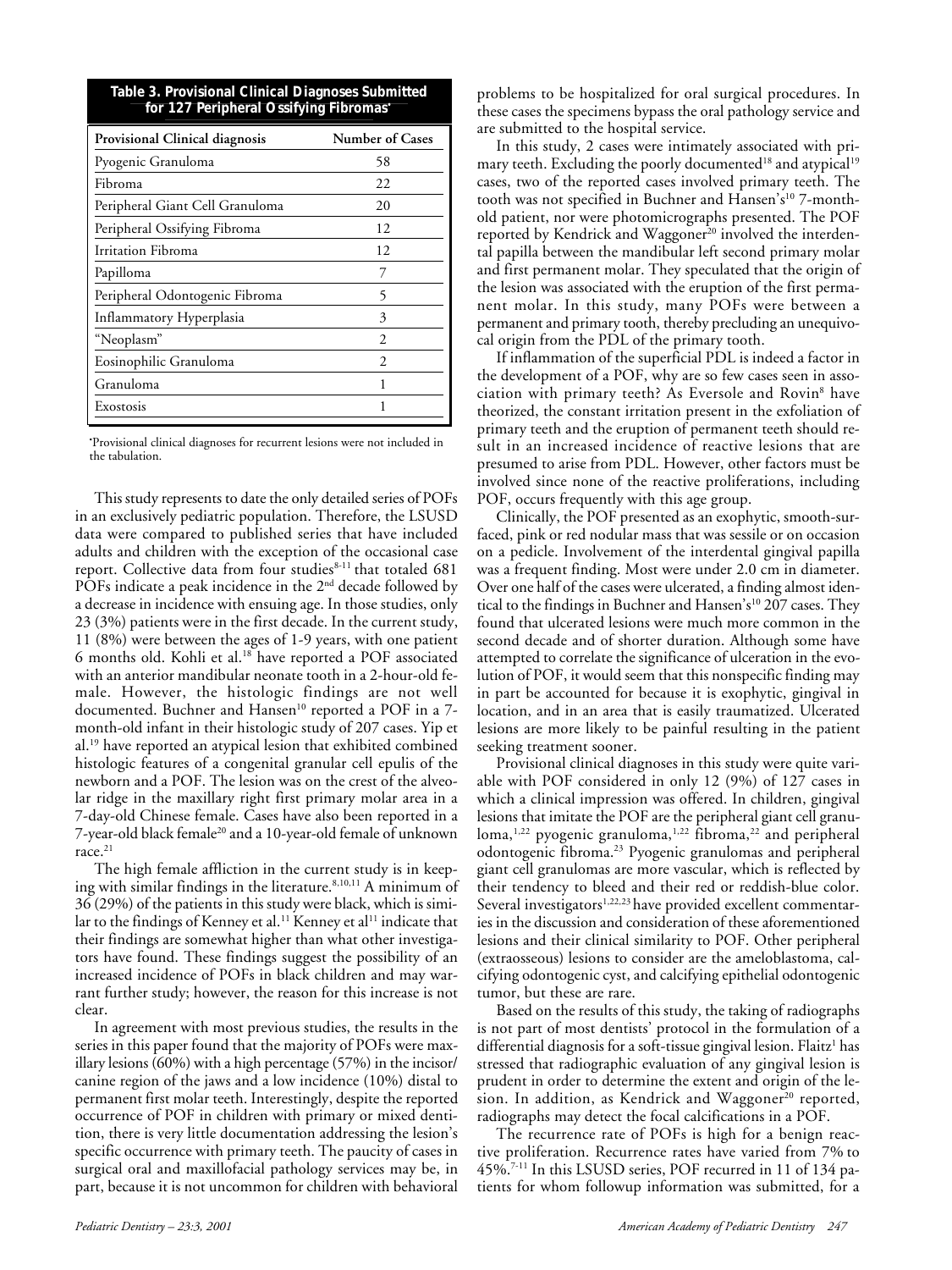| Table 3. Provisional Clinical Diagnoses Submitted |  |
|---------------------------------------------------|--|
| for 127 Peripheral Ossifying Fibromas*            |  |

| Provisional Clinical diagnosis  | <b>Number of Cases</b> |  |
|---------------------------------|------------------------|--|
| Pyogenic Granuloma              | 58                     |  |
| <b>Fibroma</b>                  | 22                     |  |
| Peripheral Giant Cell Granuloma | 20                     |  |
| Peripheral Ossifying Fibroma    | 12                     |  |
| Irritation Fibroma              | 12                     |  |
| Papilloma                       | 7                      |  |
| Peripheral Odontogenic Fibroma  | 5                      |  |
| Inflammatory Hyperplasia        | 3                      |  |
| "Neoplasm"                      | $\mathfrak{D}$         |  |
| Eosinophilic Granuloma          | $\mathfrak{D}$         |  |
| Granuloma                       | 1                      |  |
| Exostosis                       |                        |  |

• Provisional clinical diagnoses for recurrent lesions were not included in the tabulation.

This study represents to date the only detailed series of POFs in an exclusively pediatric population. Therefore, the LSUSD data were compared to published series that have included adults and children with the exception of the occasional case report. Collective data from four studies<sup>8-11</sup> that totaled 681 POFs indicate a peak incidence in the 2<sup>nd</sup> decade followed by a decrease in incidence with ensuing age. In those studies, only 23 (3%) patients were in the first decade. In the current study, 11 (8%) were between the ages of 1-9 years, with one patient 6 months old. Kohli et al.<sup>18</sup> have reported a POF associated with an anterior mandibular neonate tooth in a 2-hour-old female. However, the histologic findings are not well documented. Buchner and Hansen<sup>10</sup> reported a POF in a 7month-old infant in their histologic study of 207 cases. Yip et al.19 have reported an atypical lesion that exhibited combined histologic features of a congenital granular cell epulis of the newborn and a POF. The lesion was on the crest of the alveolar ridge in the maxillary right first primary molar area in a 7-day-old Chinese female. Cases have also been reported in a 7-year-old black female<sup>20</sup> and a 10-year-old female of unknown race.<sup>21</sup>

The high female affliction in the current study is in keeping with similar findings in the literature.8,10,11 A minimum of 36 (29%) of the patients in this study were black, which is similar to the findings of Kenney et al.<sup>11</sup> Kenney et al<sup>11</sup> indicate that their findings are somewhat higher than what other investigators have found. These findings suggest the possibility of an increased incidence of POFs in black children and may warrant further study; however, the reason for this increase is not clear.

In agreement with most previous studies, the results in the series in this paper found that the majority of POFs were maxillary lesions (60%) with a high percentage (57%) in the incisor/ canine region of the jaws and a low incidence (10%) distal to permanent first molar teeth. Interestingly, despite the reported occurrence of POF in children with primary or mixed dentition, there is very little documentation addressing the lesion's specific occurrence with primary teeth. The paucity of cases in surgical oral and maxillofacial pathology services may be, in part, because it is not uncommon for children with behavioral

problems to be hospitalized for oral surgical procedures. In these cases the specimens bypass the oral pathology service and are submitted to the hospital service.

In this study, 2 cases were intimately associated with primary teeth. Excluding the poorly documented<sup>18</sup> and atypical<sup>19</sup> cases, two of the reported cases involved primary teeth. The tooth was not specified in Buchner and Hansen's<sup>10</sup> 7-monthold patient, nor were photomicrographs presented. The POF reported by Kendrick and Waggoner<sup>20</sup> involved the interdental papilla between the mandibular left second primary molar and first permanent molar. They speculated that the origin of the lesion was associated with the eruption of the first permanent molar. In this study, many POFs were between a permanent and primary tooth, thereby precluding an unequivocal origin from the PDL of the primary tooth.

If inflammation of the superficial PDL is indeed a factor in the development of a POF, why are so few cases seen in association with primary teeth? As Eversole and Rovin<sup>8</sup> have theorized, the constant irritation present in the exfoliation of primary teeth and the eruption of permanent teeth should result in an increased incidence of reactive lesions that are presumed to arise from PDL. However, other factors must be involved since none of the reactive proliferations, including POF, occurs frequently with this age group.

Clinically, the POF presented as an exophytic, smooth-surfaced, pink or red nodular mass that was sessile or on occasion on a pedicle. Involvement of the interdental gingival papilla was a frequent finding. Most were under 2.0 cm in diameter. Over one half of the cases were ulcerated, a finding almost identical to the findings in Buchner and Hansen's<sup>10</sup> 207 cases. They found that ulcerated lesions were much more common in the second decade and of shorter duration. Although some have attempted to correlate the significance of ulceration in the evolution of POF, it would seem that this nonspecific finding may in part be accounted for because it is exophytic, gingival in location, and in an area that is easily traumatized. Ulcerated lesions are more likely to be painful resulting in the patient seeking treatment sooner.

Provisional clinical diagnoses in this study were quite variable with POF considered in only 12 (9%) of 127 cases in which a clinical impression was offered. In children, gingival lesions that imitate the POF are the peripheral giant cell granu- $\rm{loma,}^{1,22}$  pyogenic granuloma, $^{1,22}$  fibroma, $^{22}$  and peripheral odontogenic fibroma.23 Pyogenic granulomas and peripheral giant cell granulomas are more vascular, which is reflected by their tendency to bleed and their red or reddish-blue color. Several investigators<sup>1,22,23</sup> have provided excellent commentaries in the discussion and consideration of these aforementioned lesions and their clinical similarity to POF. Other peripheral (extraosseous) lesions to consider are the ameloblastoma, calcifying odontogenic cyst, and calcifying epithelial odontogenic tumor, but these are rare.

Based on the results of this study, the taking of radiographs is not part of most dentists' protocol in the formulation of a differential diagnosis for a soft-tissue gingival lesion. Flaitz<sup>1</sup> has stressed that radiographic evaluation of any gingival lesion is prudent in order to determine the extent and origin of the lesion. In addition, as Kendrick and Waggoner $20$  reported, radiographs may detect the focal calcifications in a POF.

The recurrence rate of POFs is high for a benign reactive proliferation. Recurrence rates have varied from 7% to 45%.7-11 In this LSUSD series, POF recurred in 11 of 134 patients for whom followup information was submitted, for a